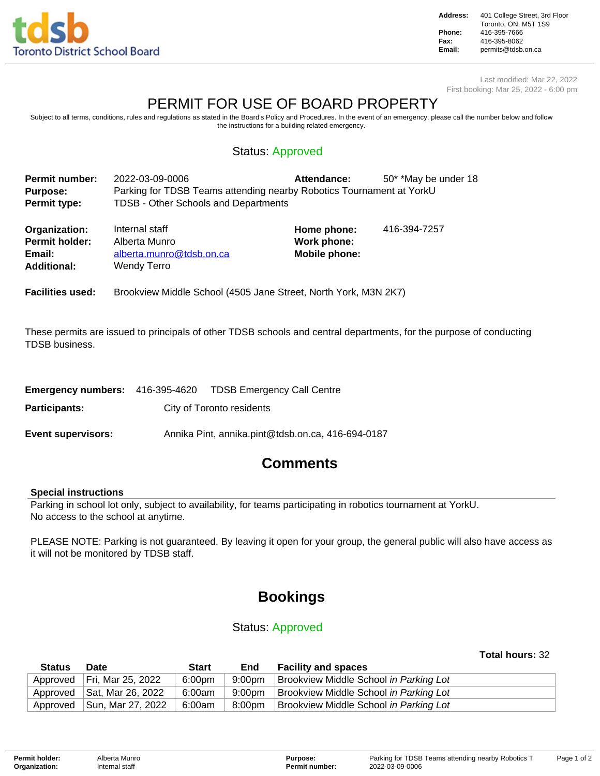

**Address:** 401 College Street, 3rd Floor Toronto, ON, M5T 1S9 **Phone:** 416-395-7666 **Fax:** 416-395-8062<br>**Email:** permits@tdsb. **Email:** permits@tdsb.on.ca

Last modified: Mar 22, 2022 First booking: Mar 25, 2022 - 6:00 pm

# PERMIT FOR USE OF BOARD PROPERTY

Subject to all terms, conditions, rules and regulations as stated in the Board's Policy and Procedures. In the event of an emergency, please call the number below and follow the instructions for a building related emergency.

## Status: Approved

| <b>Permit number:</b> | 2022-03-09-0006                                                      | <b>Attendance:</b> | 50* *May be under 18 |
|-----------------------|----------------------------------------------------------------------|--------------------|----------------------|
| <b>Purpose:</b>       | Parking for TDSB Teams attending nearby Robotics Tournament at YorkU |                    |                      |
| Permit type:          | TDSB - Other Schools and Departments                                 |                    |                      |

| Organization:         | Internal staff           | Home phone:   | 416-394-7257 |
|-----------------------|--------------------------|---------------|--------------|
| <b>Permit holder:</b> | Alberta Munro            | Work phone:   |              |
| Email:                | alberta.munro@tdsb.on.ca | Mobile phone: |              |
| <b>Additional:</b>    | Wendy Terro              |               |              |
|                       |                          |               |              |

**Facilities used:** Brookview Middle School (4505 Jane Street, North York, M3N 2K7)

These permits are issued to principals of other TDSB schools and central departments, for the purpose of conducting TDSB business.

|                           |                           | <b>Emergency numbers:</b> 416-395-4620 TDSB Emergency Call Centre |  |  |
|---------------------------|---------------------------|-------------------------------------------------------------------|--|--|
| Participants:             | City of Toronto residents |                                                                   |  |  |
| <b>Event supervisors:</b> |                           | Annika Pint, annika.pint@tdsb.on.ca, 416-694-0187                 |  |  |

# **Comments**

### **Special instructions**

Parking in school lot only, subject to availability, for teams participating in robotics tournament at YorkU. No access to the school at anytime.

PLEASE NOTE: Parking is not guaranteed. By leaving it open for your group, the general public will also have access as it will not be monitored by TDSB staff.

# **Bookings**

### Status: Approved

### **Total hours:** 32

| <b>Status</b> | Date                         | <b>Start</b> | End    | <b>Facility and spaces</b>             |
|---------------|------------------------------|--------------|--------|----------------------------------------|
|               | Approved   Fri, Mar 25, 2022 | 6:00pm       | 9:00pm | Brookview Middle School in Parking Lot |
|               | Approved Sat, Mar 26, 2022   | 6:00am       | 9:00pm | Brookview Middle School in Parking Lot |
|               | Approved Sun, Mar 27, 2022   | 6:00am       | 8:00pm | Brookview Middle School in Parking Lot |